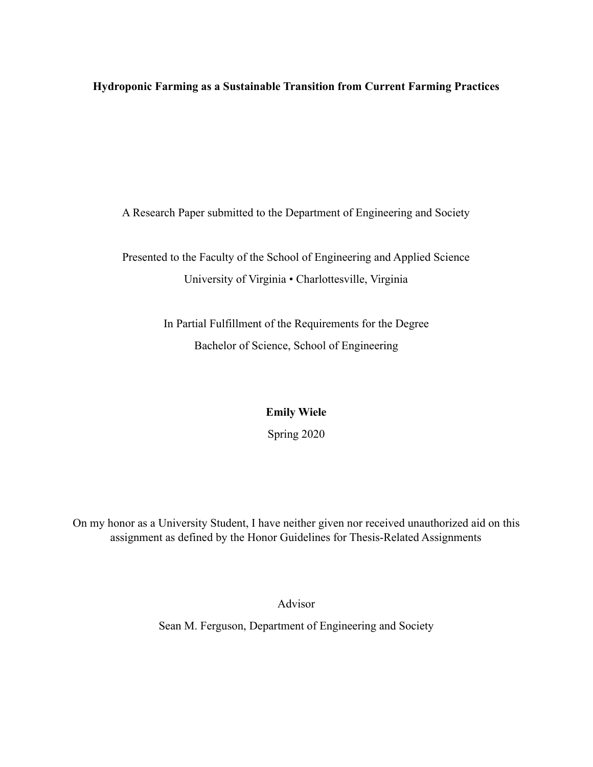**Hydroponic Farming as a Sustainable Transition from Current Farming Practices**

A Research Paper submitted to the Department of Engineering and Society

Presented to the Faculty of the School of Engineering and Applied Science University of Virginia • Charlottesville, Virginia

> In Partial Fulfillment of the Requirements for the Degree Bachelor of Science, School of Engineering

> > **Emily Wiele**

Spring 2020

On my honor as a University Student, I have neither given nor received unauthorized aid on this assignment as defined by the Honor Guidelines for Thesis-Related Assignments

Advisor

Sean M. Ferguson, Department of Engineering and Society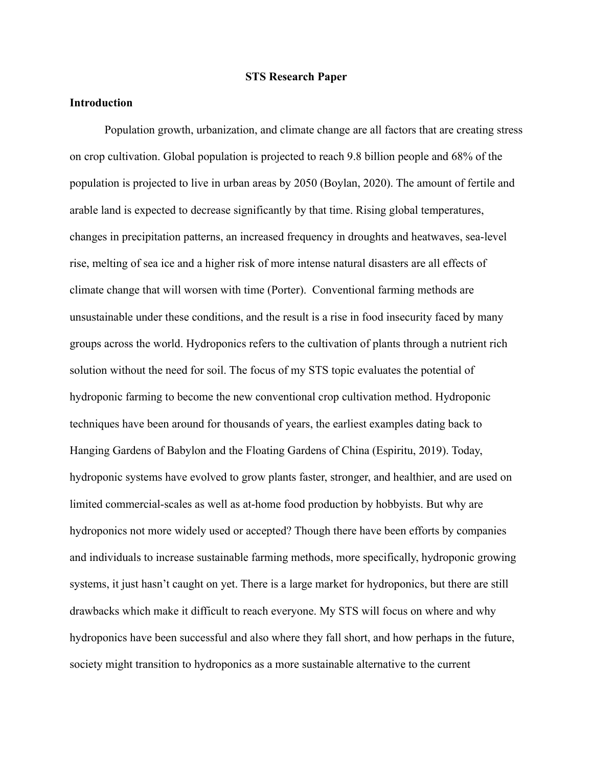### **STS Research Paper**

# **Introduction**

Population growth, urbanization, and climate change are all factors that are creating stress on crop cultivation. Global population is projected to reach 9.8 billion people and 68% of the population is projected to live in urban areas by 2050 (Boylan, 2020). The amount of fertile and arable land is expected to decrease significantly by that time. Rising global temperatures, changes in precipitation patterns, an increased frequency in droughts and heatwaves, sea-level rise, melting of sea ice and a higher risk of more intense natural disasters are all effects of climate change that will worsen with time (Porter). Conventional farming methods are unsustainable under these conditions, and the result is a rise in food insecurity faced by many groups across the world. Hydroponics refers to the cultivation of plants through a nutrient rich solution without the need for soil. The focus of my STS topic evaluates the potential of hydroponic farming to become the new conventional crop cultivation method. Hydroponic techniques have been around for thousands of years, the earliest examples dating back to Hanging Gardens of Babylon and the Floating Gardens of China (Espiritu, 2019). Today, hydroponic systems have evolved to grow plants faster, stronger, and healthier, and are used on limited commercial-scales as well as at-home food production by hobbyists. But why are hydroponics not more widely used or accepted? Though there have been efforts by companies and individuals to increase sustainable farming methods, more specifically, hydroponic growing systems, it just hasn't caught on yet. There is a large market for hydroponics, but there are still drawbacks which make it difficult to reach everyone. My STS will focus on where and why hydroponics have been successful and also where they fall short, and how perhaps in the future, society might transition to hydroponics as a more sustainable alternative to the current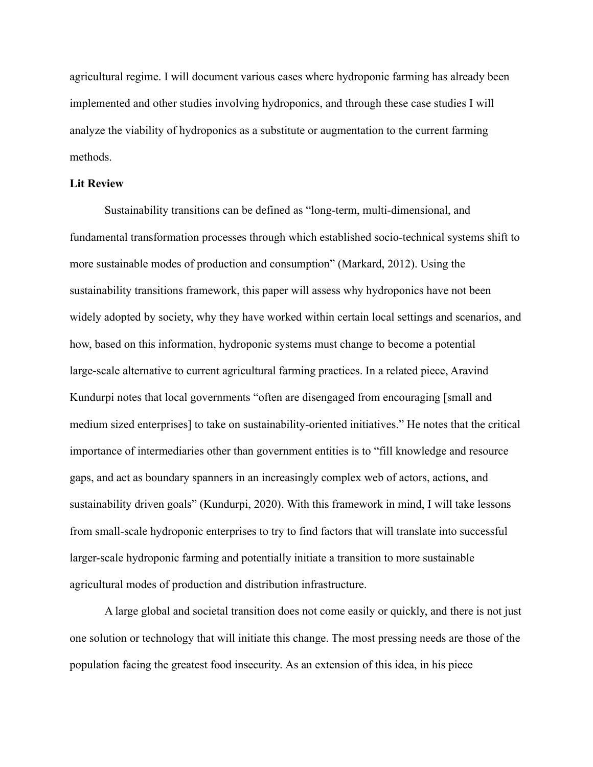agricultural regime. I will document various cases where hydroponic farming has already been implemented and other studies involving hydroponics, and through these case studies I will analyze the viability of hydroponics as a substitute or augmentation to the current farming methods.

# **Lit Review**

Sustainability transitions can be defined as "long-term, multi-dimensional, and fundamental transformation processes through which established socio-technical systems shift to more sustainable modes of production and consumption" (Markard, 2012). Using the sustainability transitions framework, this paper will assess why hydroponics have not been widely adopted by society, why they have worked within certain local settings and scenarios, and how, based on this information, hydroponic systems must change to become a potential large-scale alternative to current agricultural farming practices. In a related piece, Aravind Kundurpi notes that local governments "often are disengaged from encouraging [small and medium sized enterprises] to take on sustainability-oriented initiatives." He notes that the critical importance of intermediaries other than government entities is to "fill knowledge and resource gaps, and act as boundary spanners in an increasingly complex web of actors, actions, and sustainability driven goals" (Kundurpi, 2020). With this framework in mind, I will take lessons from small-scale hydroponic enterprises to try to find factors that will translate into successful larger-scale hydroponic farming and potentially initiate a transition to more sustainable agricultural modes of production and distribution infrastructure.

A large global and societal transition does not come easily or quickly, and there is not just one solution or technology that will initiate this change. The most pressing needs are those of the population facing the greatest food insecurity. As an extension of this idea, in his piece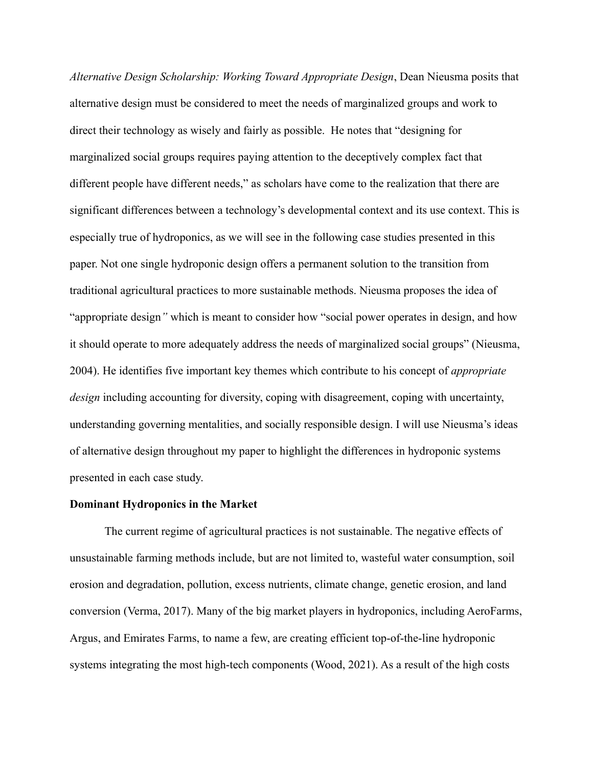*Alternative Design Scholarship: Working Toward Appropriate Design*, Dean Nieusma posits that alternative design must be considered to meet the needs of marginalized groups and work to direct their technology as wisely and fairly as possible. He notes that "designing for marginalized social groups requires paying attention to the deceptively complex fact that different people have different needs," as scholars have come to the realization that there are significant differences between a technology's developmental context and its use context. This is especially true of hydroponics, as we will see in the following case studies presented in this paper. Not one single hydroponic design offers a permanent solution to the transition from traditional agricultural practices to more sustainable methods. Nieusma proposes the idea of "appropriate design*"* which is meant to consider how "social power operates in design, and how it should operate to more adequately address the needs of marginalized social groups" (Nieusma, 2004). He identifies five important key themes which contribute to his concept of *appropriate design* including accounting for diversity, coping with disagreement, coping with uncertainty, understanding governing mentalities, and socially responsible design. I will use Nieusma's ideas of alternative design throughout my paper to highlight the differences in hydroponic systems presented in each case study.

#### **Dominant Hydroponics in the Market**

The current regime of agricultural practices is not sustainable. The negative effects of unsustainable farming methods include, but are not limited to, wasteful water consumption, soil erosion and degradation, pollution, excess nutrients, climate change, genetic erosion, and land conversion (Verma, 2017). Many of the big market players in hydroponics, including AeroFarms, Argus, and Emirates Farms, to name a few, are creating efficient top-of-the-line hydroponic systems integrating the most high-tech components (Wood, 2021). As a result of the high costs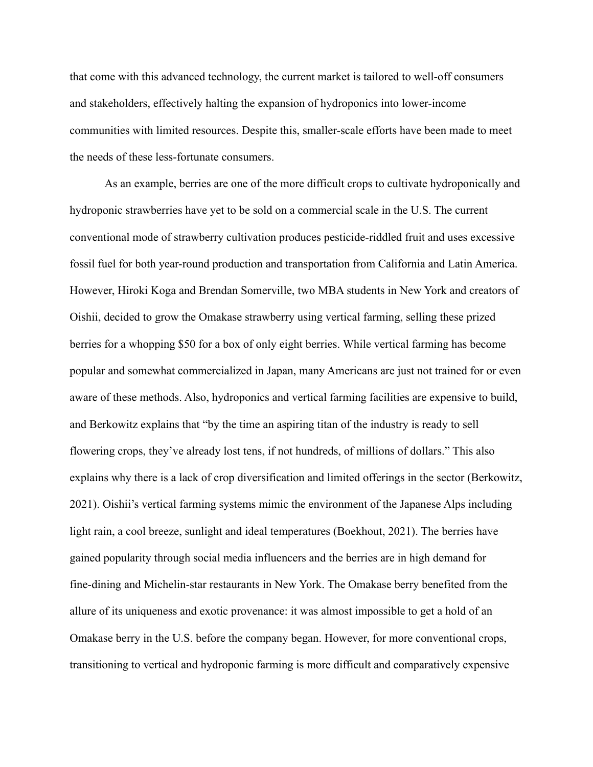that come with this advanced technology, the current market is tailored to well-off consumers and stakeholders, effectively halting the expansion of hydroponics into lower-income communities with limited resources. Despite this, smaller-scale efforts have been made to meet the needs of these less-fortunate consumers.

As an example, berries are one of the more difficult crops to cultivate hydroponically and hydroponic strawberries have yet to be sold on a commercial scale in the U.S. The current conventional mode of strawberry cultivation produces pesticide-riddled fruit and uses excessive fossil fuel for both year-round production and transportation from California and Latin America. However, Hiroki Koga and Brendan Somerville, two MBA students in New York and creators of Oishii, decided to grow the Omakase strawberry using vertical farming, selling these prized berries for a whopping \$50 for a box of only eight berries. While vertical farming has become popular and somewhat commercialized in Japan, many Americans are just not trained for or even aware of these methods. Also, hydroponics and vertical farming facilities are expensive to build, and Berkowitz explains that "by the time an aspiring titan of the industry is ready to sell flowering crops, they've already lost tens, if not hundreds, of millions of dollars." This also explains why there is a lack of crop diversification and limited offerings in the sector (Berkowitz, 2021). Oishii's vertical farming systems mimic the environment of the Japanese Alps including light rain, a cool breeze, sunlight and ideal temperatures (Boekhout, 2021). The berries have gained popularity through social media influencers and the berries are in high demand for fine-dining and Michelin-star restaurants in New York. The Omakase berry benefited from the allure of its uniqueness and exotic provenance: it was almost impossible to get a hold of an Omakase berry in the U.S. before the company began. However, for more conventional crops, transitioning to vertical and hydroponic farming is more difficult and comparatively expensive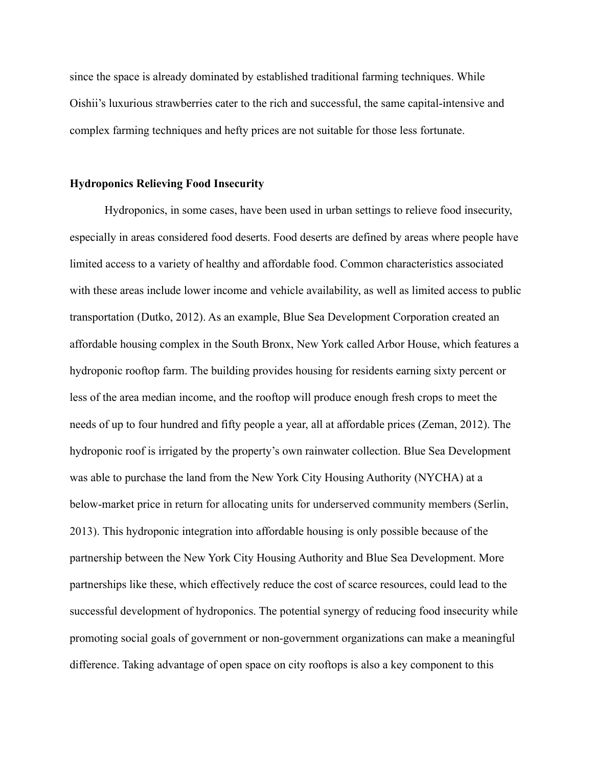since the space is already dominated by established traditional farming techniques. While Oishii's luxurious strawberries cater to the rich and successful, the same capital-intensive and complex farming techniques and hefty prices are not suitable for those less fortunate.

# **Hydroponics Relieving Food Insecurity**

Hydroponics, in some cases, have been used in urban settings to relieve food insecurity, especially in areas considered food deserts. Food deserts are defined by areas where people have limited access to a variety of healthy and affordable food. Common characteristics associated with these areas include lower income and vehicle availability, as well as limited access to public transportation (Dutko, 2012). As an example, Blue Sea Development Corporation created an affordable housing complex in the South Bronx, New York called Arbor House, which features a hydroponic rooftop farm. The building provides housing for residents earning sixty percent or less of the area median income, and the rooftop will produce enough fresh crops to meet the needs of up to four hundred and fifty people a year, all at affordable prices (Zeman, 2012). The hydroponic roof is irrigated by the property's own rainwater collection. Blue Sea Development was able to purchase the land from the New York City Housing Authority (NYCHA) at a below-market price in return for allocating units for underserved community members (Serlin, 2013). This hydroponic integration into affordable housing is only possible because of the partnership between the New York City Housing Authority and Blue Sea Development. More partnerships like these, which effectively reduce the cost of scarce resources, could lead to the successful development of hydroponics. The potential synergy of reducing food insecurity while promoting social goals of government or non-government organizations can make a meaningful difference. Taking advantage of open space on city rooftops is also a key component to this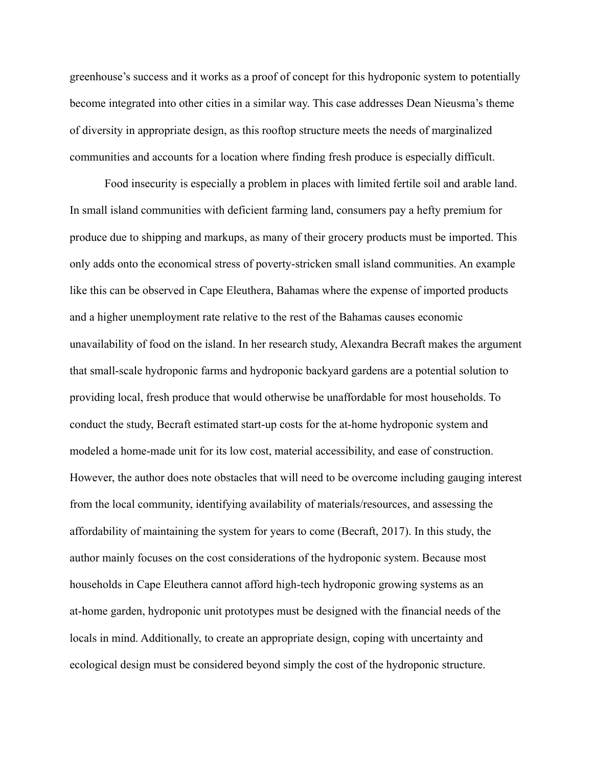greenhouse's success and it works as a proof of concept for this hydroponic system to potentially become integrated into other cities in a similar way. This case addresses Dean Nieusma's theme of diversity in appropriate design, as this rooftop structure meets the needs of marginalized communities and accounts for a location where finding fresh produce is especially difficult.

Food insecurity is especially a problem in places with limited fertile soil and arable land. In small island communities with deficient farming land, consumers pay a hefty premium for produce due to shipping and markups, as many of their grocery products must be imported. This only adds onto the economical stress of poverty-stricken small island communities. An example like this can be observed in Cape Eleuthera, Bahamas where the expense of imported products and a higher unemployment rate relative to the rest of the Bahamas causes economic unavailability of food on the island. In her research study, Alexandra Becraft makes the argument that small-scale hydroponic farms and hydroponic backyard gardens are a potential solution to providing local, fresh produce that would otherwise be unaffordable for most households. To conduct the study, Becraft estimated start-up costs for the at-home hydroponic system and modeled a home-made unit for its low cost, material accessibility, and ease of construction. However, the author does note obstacles that will need to be overcome including gauging interest from the local community, identifying availability of materials/resources, and assessing the affordability of maintaining the system for years to come (Becraft, 2017). In this study, the author mainly focuses on the cost considerations of the hydroponic system. Because most households in Cape Eleuthera cannot afford high-tech hydroponic growing systems as an at-home garden, hydroponic unit prototypes must be designed with the financial needs of the locals in mind. Additionally, to create an appropriate design, coping with uncertainty and ecological design must be considered beyond simply the cost of the hydroponic structure.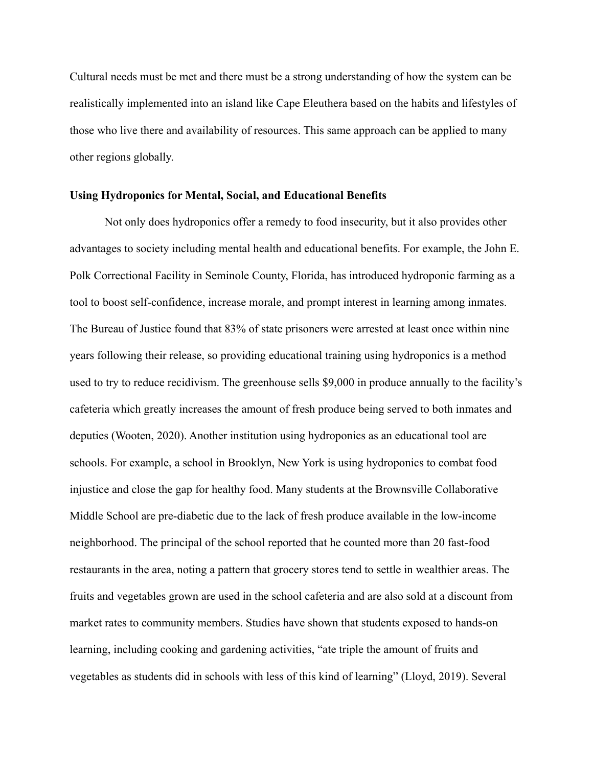Cultural needs must be met and there must be a strong understanding of how the system can be realistically implemented into an island like Cape Eleuthera based on the habits and lifestyles of those who live there and availability of resources. This same approach can be applied to many other regions globally.

#### **Using Hydroponics for Mental, Social, and Educational Benefits**

Not only does hydroponics offer a remedy to food insecurity, but it also provides other advantages to society including mental health and educational benefits. For example, the John E. Polk Correctional Facility in Seminole County, Florida, has introduced hydroponic farming as a tool to boost self-confidence, increase morale, and prompt interest in learning among inmates. The Bureau of Justice found that 83% of state prisoners were arrested at least once within nine years following their release, so providing educational training using hydroponics is a method used to try to reduce recidivism. The greenhouse sells \$9,000 in produce annually to the facility's cafeteria which greatly increases the amount of fresh produce being served to both inmates and deputies (Wooten, 2020). Another institution using hydroponics as an educational tool are schools. For example, a school in Brooklyn, New York is using hydroponics to combat food injustice and close the gap for healthy food. Many students at the Brownsville Collaborative Middle School are pre-diabetic due to the lack of fresh produce available in the low-income neighborhood. The principal of the school reported that he counted more than 20 fast-food restaurants in the area, noting a pattern that grocery stores tend to settle in wealthier areas. The fruits and vegetables grown are used in the school cafeteria and are also sold at a discount from market rates to community members. Studies have shown that students exposed to hands-on learning, including cooking and gardening activities, "ate triple the amount of fruits and vegetables as students did in schools with less of this kind of learning" (Lloyd, 2019). Several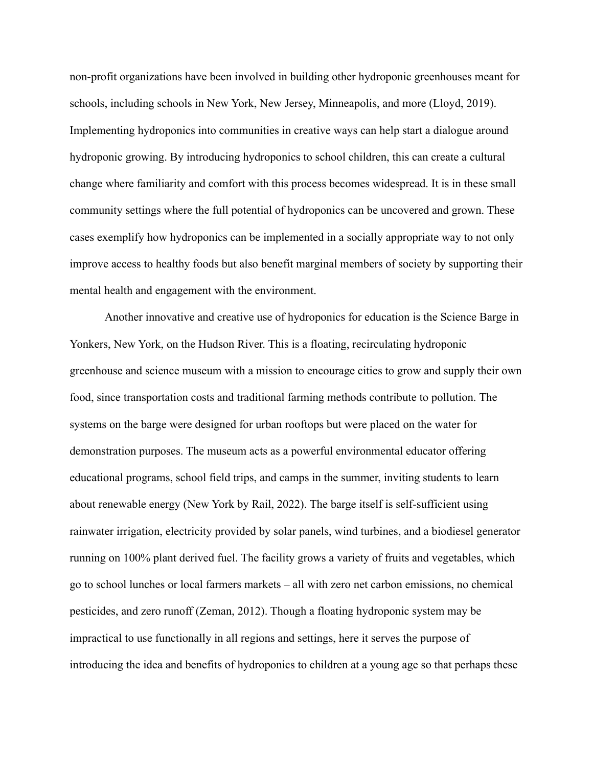non-profit organizations have been involved in building other hydroponic greenhouses meant for schools, including schools in New York, New Jersey, Minneapolis, and more (Lloyd, 2019). Implementing hydroponics into communities in creative ways can help start a dialogue around hydroponic growing. By introducing hydroponics to school children, this can create a cultural change where familiarity and comfort with this process becomes widespread. It is in these small community settings where the full potential of hydroponics can be uncovered and grown. These cases exemplify how hydroponics can be implemented in a socially appropriate way to not only improve access to healthy foods but also benefit marginal members of society by supporting their mental health and engagement with the environment.

Another innovative and creative use of hydroponics for education is the Science Barge in Yonkers, New York, on the Hudson River. This is a floating, recirculating hydroponic greenhouse and science museum with a mission to encourage cities to grow and supply their own food, since transportation costs and traditional farming methods contribute to pollution. The systems on the barge were designed for urban rooftops but were placed on the water for demonstration purposes. The museum acts as a powerful environmental educator offering educational programs, school field trips, and camps in the summer, inviting students to learn about renewable energy (New York by Rail, 2022). The barge itself is self-sufficient using rainwater irrigation, electricity provided by solar panels, wind turbines, and a biodiesel generator running on 100% plant derived fuel. The facility grows a variety of fruits and vegetables, which go to school lunches or local farmers markets – all with zero net carbon emissions, no chemical pesticides, and zero runoff (Zeman, 2012). Though a floating hydroponic system may be impractical to use functionally in all regions and settings, here it serves the purpose of introducing the idea and benefits of hydroponics to children at a young age so that perhaps these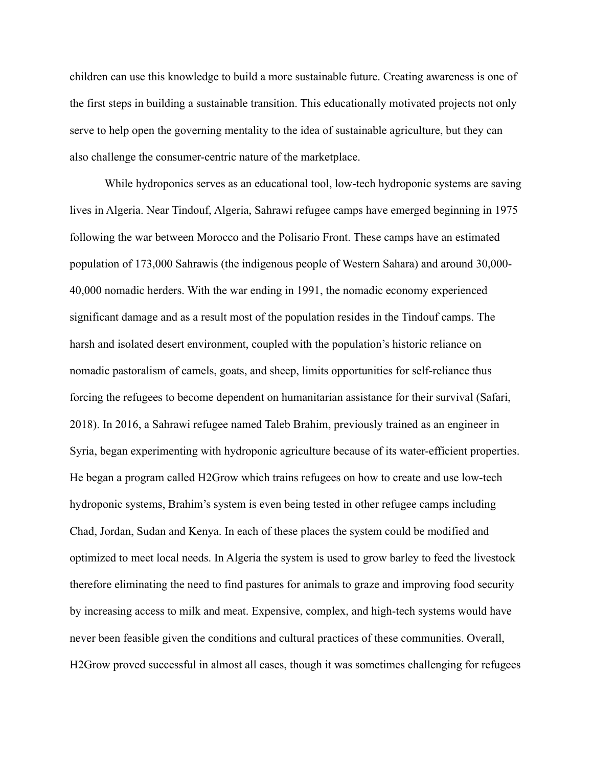children can use this knowledge to build a more sustainable future. Creating awareness is one of the first steps in building a sustainable transition. This educationally motivated projects not only serve to help open the governing mentality to the idea of sustainable agriculture, but they can also challenge the consumer-centric nature of the marketplace.

While hydroponics serves as an educational tool, low-tech hydroponic systems are saving lives in Algeria. Near Tindouf, Algeria, Sahrawi refugee camps have emerged beginning in 1975 following the war between Morocco and the Polisario Front. These camps have an estimated population of 173,000 Sahrawis (the indigenous people of Western Sahara) and around 30,000- 40,000 nomadic herders. With the war ending in 1991, the nomadic economy experienced significant damage and as a result most of the population resides in the Tindouf camps. The harsh and isolated desert environment, coupled with the population's historic reliance on nomadic pastoralism of camels, goats, and sheep, limits opportunities for self-reliance thus forcing the refugees to become dependent on humanitarian assistance for their survival (Safari, 2018). In 2016, a Sahrawi refugee named Taleb Brahim, previously trained as an engineer in Syria, began experimenting with hydroponic agriculture because of its water-efficient properties. He began a program called H2Grow which trains refugees on how to create and use low-tech hydroponic systems, Brahim's system is even being tested in other refugee camps including Chad, Jordan, Sudan and Kenya. In each of these places the system could be modified and optimized to meet local needs. In Algeria the system is used to grow barley to feed the livestock therefore eliminating the need to find pastures for animals to graze and improving food security by increasing access to milk and meat. Expensive, complex, and high-tech systems would have never been feasible given the conditions and cultural practices of these communities. Overall, H2Grow proved successful in almost all cases, though it was sometimes challenging for refugees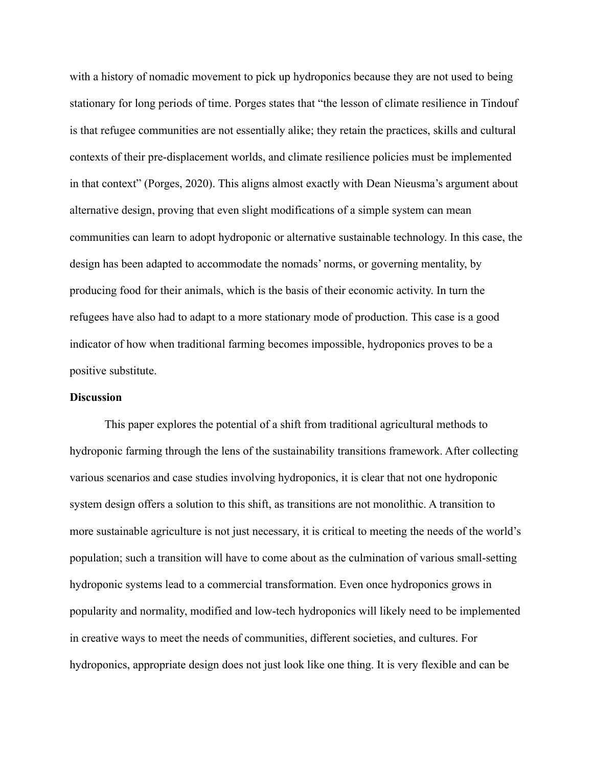with a history of nomadic movement to pick up hydroponics because they are not used to being stationary for long periods of time. Porges states that "the lesson of climate resilience in Tindouf is that refugee communities are not essentially alike; they retain the practices, skills and cultural contexts of their pre-displacement worlds, and climate resilience policies must be implemented in that context" (Porges, 2020). This aligns almost exactly with Dean Nieusma's argument about alternative design, proving that even slight modifications of a simple system can mean communities can learn to adopt hydroponic or alternative sustainable technology. In this case, the design has been adapted to accommodate the nomads' norms, or governing mentality, by producing food for their animals, which is the basis of their economic activity. In turn the refugees have also had to adapt to a more stationary mode of production. This case is a good indicator of how when traditional farming becomes impossible, hydroponics proves to be a positive substitute.

#### **Discussion**

This paper explores the potential of a shift from traditional agricultural methods to hydroponic farming through the lens of the sustainability transitions framework. After collecting various scenarios and case studies involving hydroponics, it is clear that not one hydroponic system design offers a solution to this shift, as transitions are not monolithic. A transition to more sustainable agriculture is not just necessary, it is critical to meeting the needs of the world's population; such a transition will have to come about as the culmination of various small-setting hydroponic systems lead to a commercial transformation. Even once hydroponics grows in popularity and normality, modified and low-tech hydroponics will likely need to be implemented in creative ways to meet the needs of communities, different societies, and cultures. For hydroponics, appropriate design does not just look like one thing. It is very flexible and can be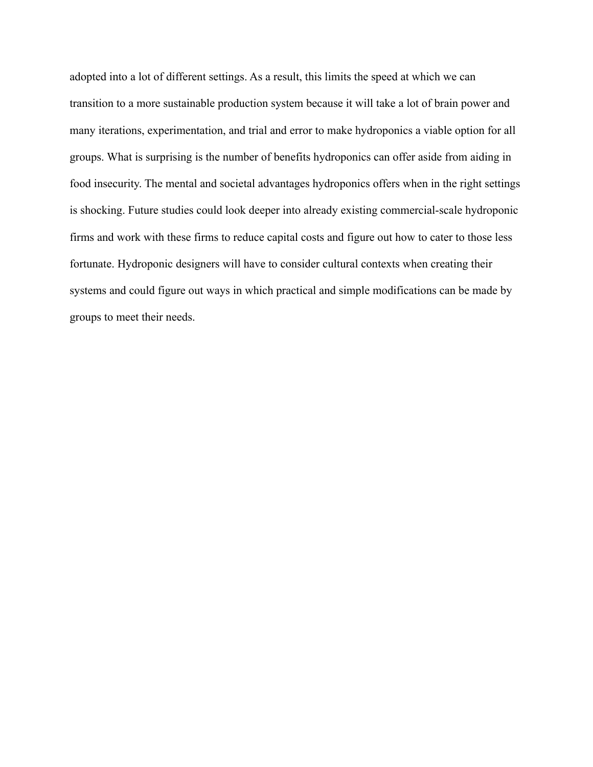adopted into a lot of different settings. As a result, this limits the speed at which we can transition to a more sustainable production system because it will take a lot of brain power and many iterations, experimentation, and trial and error to make hydroponics a viable option for all groups. What is surprising is the number of benefits hydroponics can offer aside from aiding in food insecurity. The mental and societal advantages hydroponics offers when in the right settings is shocking. Future studies could look deeper into already existing commercial-scale hydroponic firms and work with these firms to reduce capital costs and figure out how to cater to those less fortunate. Hydroponic designers will have to consider cultural contexts when creating their systems and could figure out ways in which practical and simple modifications can be made by groups to meet their needs.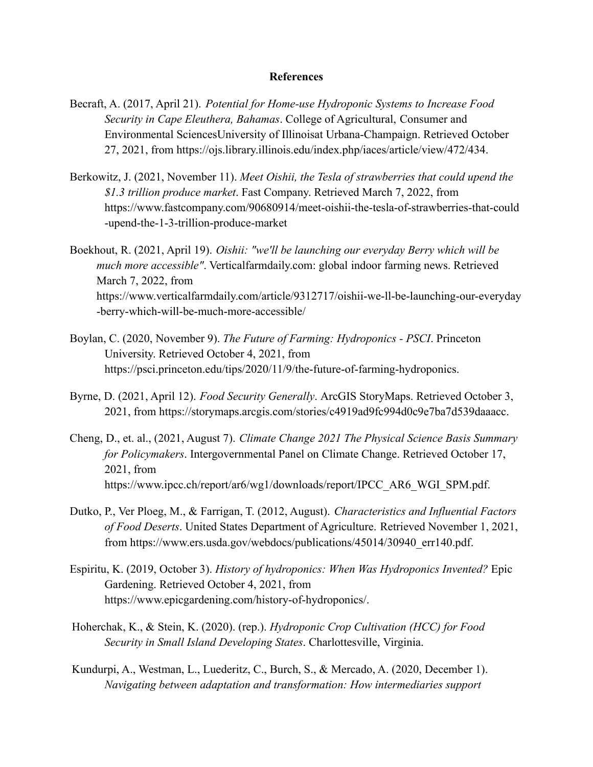## **References**

- Becraft, A. (2017, April 21). *Potential for Home-use Hydroponic Systems to Increase Food Security in Cape Eleuthera, Bahamas*. College of Agricultural, Consumer and Environmental SciencesUniversity of Illinoisat Urbana-Champaign. Retrieved October 27, 2021, from https://ojs.library.illinois.edu/index.php/iaces/article/view/472/434.
- Berkowitz, J. (2021, November 11). *Meet Oishii, the Tesla of strawberries that could upend the \$1.3 trillion produce market*. Fast Company. Retrieved March 7, 2022, from https://www.fastcompany.com/90680914/meet-oishii-the-tesla-of-strawberries-that-could -upend-the-1-3-trillion-produce-market
- Boekhout, R. (2021, April 19). *Oishii: "we'll be launching our everyday Berry which will be much more accessible"*. Verticalfarmdaily.com: global indoor farming news. Retrieved March 7, 2022, from https://www.verticalfarmdaily.com/article/9312717/oishii-we-ll-be-launching-our-everyday -berry-which-will-be-much-more-accessible/
- Boylan, C. (2020, November 9). *The Future of Farming: Hydroponics PSCI*. Princeton University. Retrieved October 4, 2021, from https://psci.princeton.edu/tips/2020/11/9/the-future-of-farming-hydroponics.
- Byrne, D. (2021, April 12). *Food Security Generally*. ArcGIS StoryMaps. Retrieved October 3, 2021, from https://storymaps.arcgis.com/stories/c4919ad9fc994d0c9e7ba7d539daaacc.
- Cheng, D., et. al., (2021, August 7). *Climate Change 2021 The Physical Science Basis Summary for Policymakers*. Intergovernmental Panel on Climate Change. Retrieved October 17, 2021, from https://www.ipcc.ch/report/ar6/wg1/downloads/report/IPCC\_AR6\_WGI\_SPM.pdf.
- Dutko, P., Ver Ploeg, M., & Farrigan, T. (2012, August). *Characteristics and Influential Factors of Food Deserts*. United States Department of Agriculture. Retrieved November 1, 2021, from https://www.ers.usda.gov/webdocs/publications/45014/30940\_err140.pdf.
- Espiritu, K. (2019, October 3). *History of hydroponics: When Was Hydroponics Invented?* Epic Gardening. Retrieved October 4, 2021, from https://www.epicgardening.com/history-of-hydroponics/.
- Hoherchak, K., & Stein, K. (2020). (rep.). *Hydroponic Crop Cultivation (HCC) for Food Security in Small Island Developing States*. Charlottesville, Virginia.
- Kundurpi, A., Westman, L., Luederitz, C., Burch, S., & Mercado, A. (2020, December 1). *Navigating between adaptation and transformation: How intermediaries support*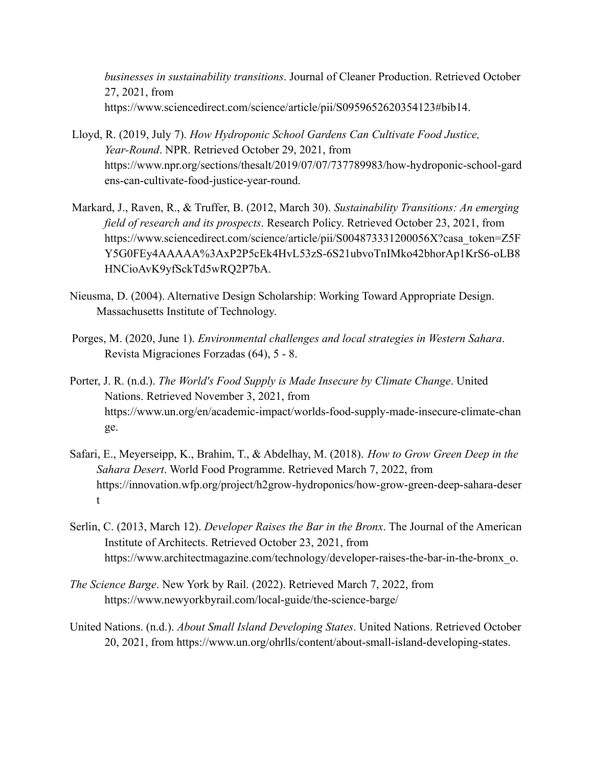*businesses in sustainability transitions*. Journal of Cleaner Production. Retrieved October 27, 2021, from https://www.sciencedirect.com/science/article/pii/S0959652620354123#bib14.

- Lloyd, R. (2019, July 7). *How Hydroponic School Gardens Can Cultivate Food Justice, Year-Round*. NPR. Retrieved October 29, 2021, from https://www.npr.org/sections/thesalt/2019/07/07/737789983/how-hydroponic-school-gard ens-can-cultivate-food-justice-year-round.
- Markard, J., Raven, R., & Truffer, B. (2012, March 30). *Sustainability Transitions: An emerging field of research and its prospects*. Research Policy. Retrieved October 23, 2021, from https://www.sciencedirect.com/science/article/pii/S004873331200056X?casa\_token=Z5F Y5G0FEy4AAAAA%3AxP2P5cEk4HvL53zS-6S21ubvoTnIMko42bhorAp1KrS6-oLB8 HNCioAvK9yfSckTd5wRQ2P7bA.
- Nieusma, D. (2004). Alternative Design Scholarship: Working Toward Appropriate Design. Massachusetts Institute of Technology.
- Porges, M. (2020, June 1). *Environmental challenges and local strategies in Western Sahara*. Revista Migraciones Forzadas (64), 5 - 8.
- Porter, J. R. (n.d.). *The World's Food Supply is Made Insecure by Climate Change*. United Nations. Retrieved November 3, 2021, from https://www.un.org/en/academic-impact/worlds-food-supply-made-insecure-climate-chan ge.
- Safari, E., Meyerseipp, K., Brahim, T., & Abdelhay, M. (2018). *How to Grow Green Deep in the Sahara Desert*. World Food Programme. Retrieved March 7, 2022, from https://innovation.wfp.org/project/h2grow-hydroponics/how-grow-green-deep-sahara-deser t
- Serlin, C. (2013, March 12). *Developer Raises the Bar in the Bronx*. The Journal of the American Institute of Architects. Retrieved October 23, 2021, from https://www.architectmagazine.com/technology/developer-raises-the-bar-in-the-bronx o.
- *The Science Barge*. New York by Rail. (2022). Retrieved March 7, 2022, from https://www.newyorkbyrail.com/local-guide/the-science-barge/
- United Nations. (n.d.). *About Small Island Developing States*. United Nations. Retrieved October 20, 2021, from https://www.un.org/ohrlls/content/about-small-island-developing-states.